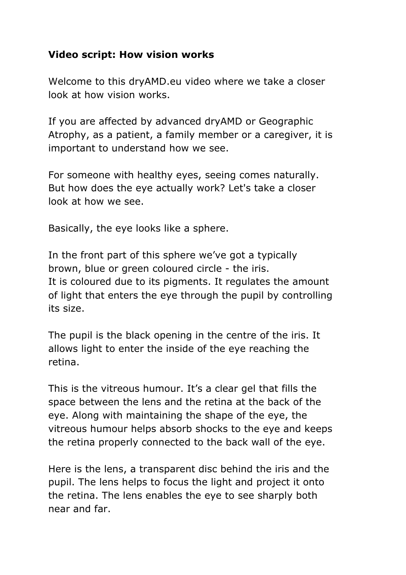## **Video script: How vision works**

Welcome to this dryAMD.eu video where we take a closer look at how vision works.

If you are affected by advanced dryAMD or Geographic Atrophy, as a patient, a family member or a caregiver, it is important to understand how we see.

For someone with healthy eyes, seeing comes naturally. But how does the eye actually work? Let's take a closer look at how we see.

Basically, the eye looks like a sphere.

In the front part of this sphere we've got a typically brown, blue or green coloured circle - the iris. It is coloured due to its pigments. It regulates the amount of light that enters the eye through the pupil by controlling its size.

The pupil is the black opening in the centre of the iris. It allows light to enter the inside of the eye reaching the retina.

This is the vitreous humour. It's a clear gel that fills the space between the lens and the retina at the back of the eye. Along with maintaining the shape of the eye, the vitreous humour helps absorb shocks to the eye and keeps the retina properly connected to the back wall of the eye.

Here is the lens, a transparent disc behind the iris and the pupil. The lens helps to focus the light and project it onto the retina. The lens enables the eye to see sharply both near and far.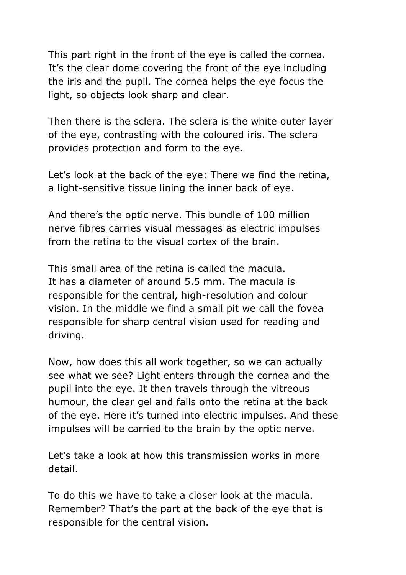This part right in the front of the eye is called the cornea. It's the clear dome covering the front of the eye including the iris and the pupil. The cornea helps the eye focus the light, so objects look sharp and clear.

Then there is the sclera. The sclera is the white outer layer of the eye, contrasting with the coloured iris. The sclera provides protection and form to the eye.

Let's look at the back of the eye: There we find the retina, a light-sensitive tissue lining the inner back of eye.

And there's the optic nerve. This bundle of 100 million nerve fibres carries visual messages as electric impulses from the retina to the visual cortex of the brain.

This small area of the retina is called the macula. It has a diameter of around 5.5 mm. The macula is responsible for the central, high-resolution and colour vision. In the middle we find a small pit we call the fovea responsible for sharp central vision used for reading and driving.

Now, how does this all work together, so we can actually see what we see? Light enters through the cornea and the pupil into the eye. It then travels through the vitreous humour, the clear gel and falls onto the retina at the back of the eye. Here it's turned into electric impulses. And these impulses will be carried to the brain by the optic nerve.

Let's take a look at how this transmission works in more detail.

To do this we have to take a closer look at the macula. Remember? That's the part at the back of the eye that is responsible for the central vision.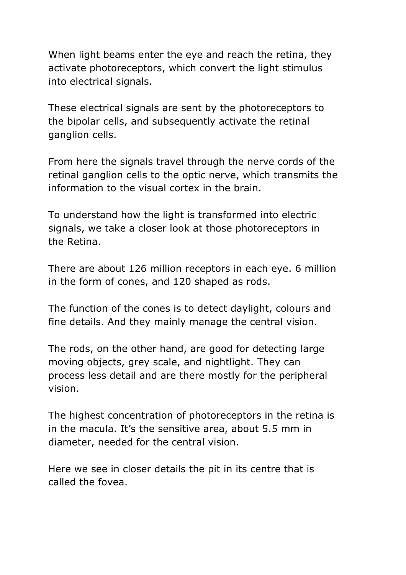When light beams enter the eye and reach the retina, they activate photoreceptors, which convert the light stimulus into electrical signals.

These electrical signals are sent by the photoreceptors to the bipolar cells, and subsequently activate the retinal ganglion cells.

From here the signals travel through the nerve cords of the retinal ganglion cells to the optic nerve, which transmits the information to the visual cortex in the brain.

To understand how the light is transformed into electric signals, we take a closer look at those photoreceptors in the Retina.

There are about 126 million receptors in each eye. 6 million in the form of cones, and 120 shaped as rods.

The function of the cones is to detect daylight, colours and fine details. And they mainly manage the central vision.

The rods, on the other hand, are good for detecting large moving objects, grey scale, and nightlight. They can process less detail and are there mostly for the peripheral vision.

The highest concentration of photoreceptors in the retina is in the macula. It's the sensitive area, about 5.5 mm in diameter, needed for the central vision.

Here we see in closer details the pit in its centre that is called the fovea.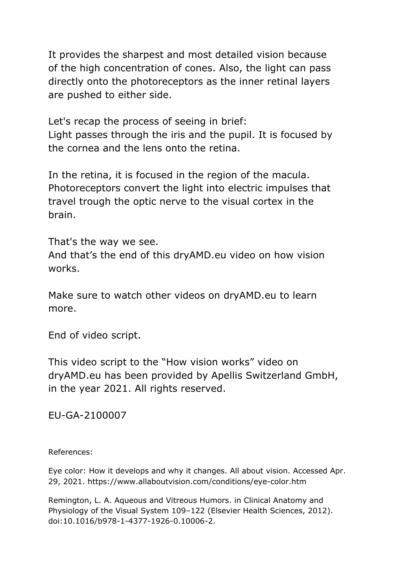It provides the sharpest and most detailed vision because of the high concentration of cones. Also, the light can pass directly onto the photoreceptors as the inner retinal layers are pushed to either side.

Let's recap the process of seeing in brief:

Light passes through the iris and the pupil. It is focused by the cornea and the lens onto the retina.

In the retina, it is focused in the region of the macula. Photoreceptors convert the light into electric impulses that travel trough the optic nerve to the visual cortex in the brain.

That's the way we see. And that's the end of this dryAMD.eu video on how vision works.

Make sure to watch other videos on dryAMD.eu to learn more.

End of video script.

This video script to the "How vision works" video on dryAMD.eu has been provided by Apellis Switzerland GmbH, in the year 2021. All rights reserved.

EU-GA-2100007

References:

Eye color: How it develops and why it changes. All about vision. Accessed Apr. 29, 2021. https://www.allaboutvision.com/conditions/eye-color.htm

Remington, L. A. Aqueous and Vitreous Humors. in Clinical Anatomy and Physiology of the Visual System 109–122 (Elsevier Health Sciences, 2012). doi:10.1016/b978-1-4377-1926-0.10006-2.